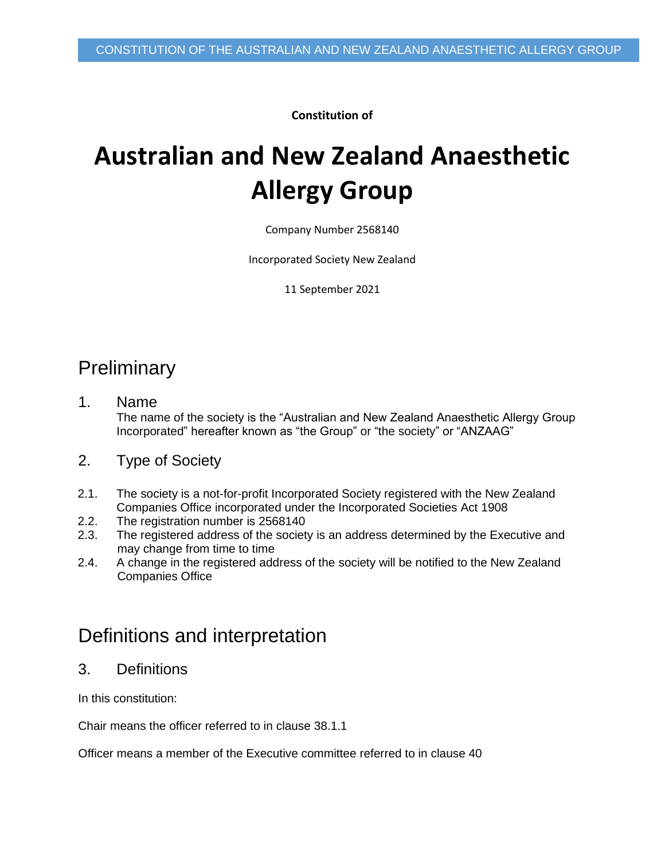**Constitution of**

# **Australian and New Zealand Anaesthetic Allergy Group**

Company Number 2568140

Incorporated Society New Zealand

11 September 2021

### **Preliminary**

- 1. Name The name of the society is the "Australian and New Zealand Anaesthetic Allergy Group Incorporated" hereafter known as "the Group" or "the society" or "ANZAAG"
- 2. Type of Society
- 2.1. The society is a not-for-profit Incorporated Society registered with the New Zealand Companies Office incorporated under the Incorporated Societies Act 1908
- 2.2. The registration number is 2568140
- 2.3. The registered address of the society is an address determined by the Executive and may change from time to time
- 2.4. A change in the registered address of the society will be notified to the New Zealand Companies Office

### Definitions and interpretation

3. Definitions

In this constitution:

Chair means the officer referred to in clause [38.1.1](#page-14-0)

Officer means a member of the Executive committee referred to in clause 40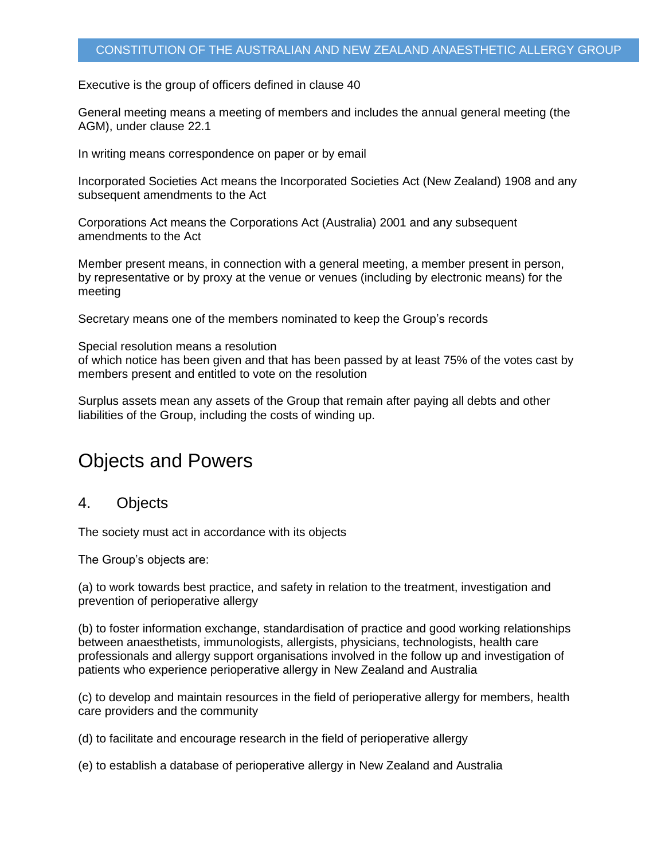Executive is the group of officers defined in clause 40

General meeting means a meeting of members and includes the annual general meeting (the AGM), under clause 22.1

In writing means correspondence on paper or by email

Incorporated Societies Act means the Incorporated Societies Act (New Zealand) 1908 and any subsequent amendments to the Act

Corporations Act means the Corporations Act (Australia) 2001 and any subsequent amendments to the Act

Member present means, in connection with a general meeting, a member present in person, by representative or by proxy at the venue or venues (including by electronic means) for the meeting

Secretary means one of the members nominated to keep the Group's records

Special resolution means a resolution of which notice has been given and that has been passed by at least 75% of the votes cast by members present and entitled to vote on the resolution

Surplus assets mean any assets of the Group that remain after paying all debts and other liabilities of the Group, including the costs of winding up.

### Objects and Powers

#### <span id="page-1-0"></span>4. Objects

The society must act in accordance with its objects

The Group's objects are:

(a) to work towards best practice, and safety in relation to the treatment, investigation and prevention of perioperative allergy

(b) to foster information exchange, standardisation of practice and good working relationships between anaesthetists, immunologists, allergists, physicians, technologists, health care professionals and allergy support organisations involved in the follow up and investigation of patients who experience perioperative allergy in New Zealand and Australia

(c) to develop and maintain resources in the field of perioperative allergy for members, health care providers and the community

(d) to facilitate and encourage research in the field of perioperative allergy

(e) to establish a database of perioperative allergy in New Zealand and Australia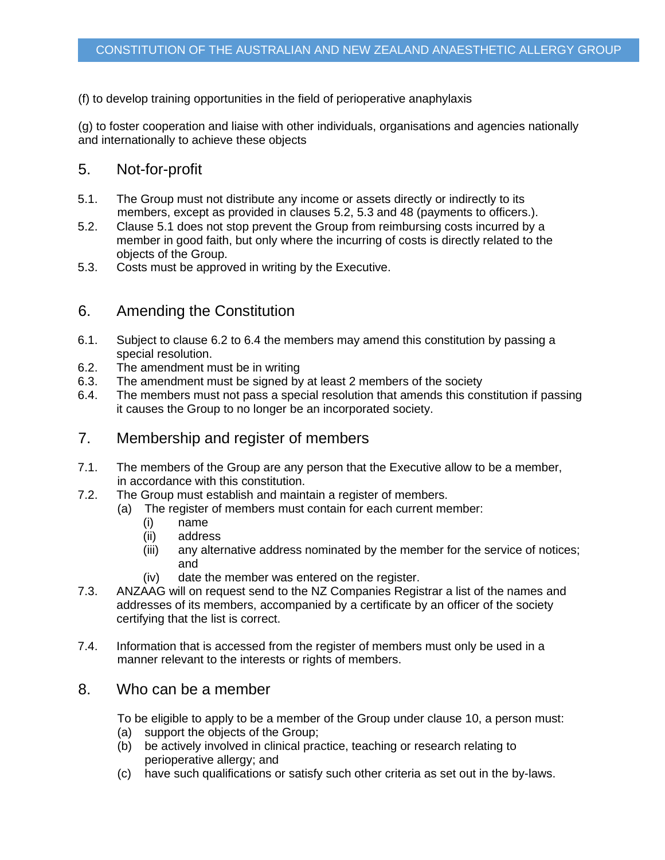#### (f) to develop training opportunities in the field of perioperative anaphylaxis

(g) to foster cooperation and liaise with other individuals, organisations and agencies nationally and internationally to achieve these objects

### 5. Not-for-profit

- <span id="page-2-2"></span>5.1. The Group must not distribute any income or assets directly or indirectly to its members, except as provided in clauses [5.2,](#page-2-0) [5.3](#page-2-1) and [48](#page-16-0) (payments to officers.).
- <span id="page-2-0"></span>5.2. Clause [5.1](#page-2-2) does not stop prevent the Group from reimbursing costs incurred by a member in good faith, but only where the incurring of costs is directly related to the objects of the Group.
- <span id="page-2-1"></span>5.3. Costs must be approved in writing by the Executive.

### 6. Amending the Constitution

- 6.1. Subject to clause [6.2](#page-2-3) to [6.4](#page-2-4) the members may amend this constitution by passing a special resolution.
- <span id="page-2-3"></span>6.2. The amendment must be in writing
- 6.3. The amendment must be signed by at least 2 members of the society
- <span id="page-2-4"></span>6.4. The members must not pass a special resolution that amends this constitution if passing it causes the Group to no longer be an incorporated society.
- 7. Membership and register of members
- 7.1. The members of the Group are any person that the Executive allow to be a member, in accordance with this constitution.
- 7.2. The Group must establish and maintain a register of members.
	- (a) The register of members must contain for each current member:
		- (i) name
		- (ii) address
		- (iii) any alternative address nominated by the member for the service of notices; and
		- (iv) date the member was entered on the register.
- 7.3. ANZAAG will on request send to the NZ Companies Registrar a list of the names and addresses of its members, accompanied by a certificate by an officer of the society certifying that the list is correct.
- 7.4. Information that is accessed from the register of members must only be used in a manner relevant to the interests or rights of members.

### 8. Who can be a member

To be eligible to apply to be a member of the Group under clause [10,](#page-3-0) a person must: (a) support the objects of the Group;

- (b) be actively involved in clinical practice, teaching or research relating to perioperative allergy; and
- (c) have such qualifications or satisfy such other criteria as set out in the by-laws.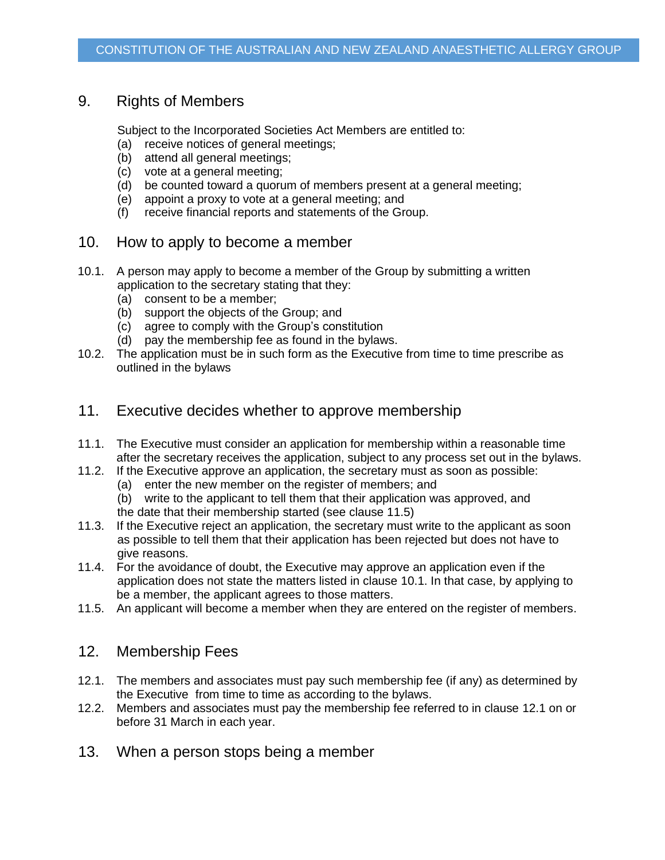### 9. Rights of Members

Subject to the Incorporated Societies Act Members are entitled to:

- (a) receive notices of general meetings;
- (b) attend all general meetings;
- (c) vote at a general meeting;
- (d) be counted toward a quorum of members present at a general meeting;
- (e) appoint a proxy to vote at a general meeting; and
- (f) receive financial reports and statements of the Group.
- <span id="page-3-0"></span>10. How to apply to become a member
- <span id="page-3-2"></span>10.1. A person may apply to become a member of the Group by submitting a written application to the secretary stating that they:
	- (a) consent to be a member;
	- (b) support the objects of the Group; and
	- (c) agree to comply with the Group's constitution
	- (d) pay the membership fee as found in the bylaws.
- 10.2. The application must be in such form as the Executive from time to time prescribe as outlined in the bylaws
- <span id="page-3-4"></span>11. Executive decides whether to approve membership
- 11.1. The Executive must consider an application for membership within a reasonable time after the secretary receives the application, subject to any process set out in the bylaws.
- 11.2. If the Executive approve an application, the secretary must as soon as possible:
	- (a) enter the new member on the register of members; and
	- (b) write to the applicant to tell them that their application was approved, and
	- the date that their membership started (see clause [11.5\)](#page-3-1)
- 11.3. If the Executive reject an application, the secretary must write to the applicant as soon as possible to tell them that their application has been rejected but does not have to give reasons.
- 11.4. For the avoidance of doubt, the Executive may approve an application even if the application does not state the matters listed in clause [10.1.](#page-3-2) In that case, by applying to be a member, the applicant agrees to those matters.
- <span id="page-3-1"></span>11.5. An applicant will become a member when they are entered on the register of members.

### 12. Membership Fees

- <span id="page-3-3"></span>12.1. The members and associates must pay such membership fee (if any) as determined by the Executive from time to time as according to the bylaws.
- 12.2. Members and associates must pay the membership fee referred to in clause [12.1](#page-3-3) on or before 31 March in each year.
- 13. When a person stops being a member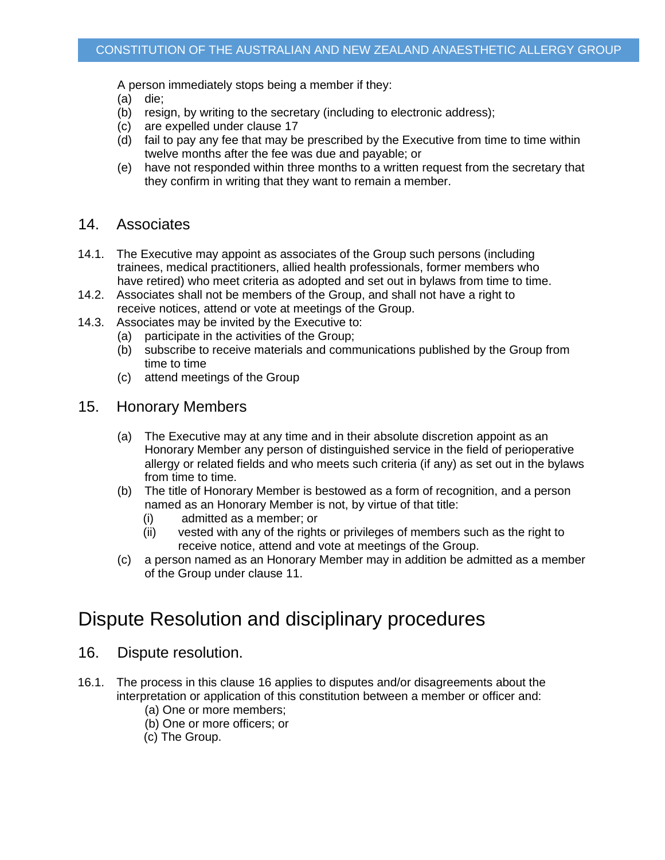A person immediately stops being a member if they:

- (a) die;
- (b) resign, by writing to the secretary (including to electronic address);
- (c) are expelled under clause 17
- (d) fail to pay any fee that may be prescribed by the Executive from time to time within twelve months after the fee was due and payable; or
- (e) have not responded within three months to a written request from the secretary that they confirm in writing that they want to remain a member.

#### 14. Associates

- 14.1. The Executive may appoint as associates of the Group such persons (including trainees, medical practitioners, allied health professionals, former members who have retired) who meet criteria as adopted and set out in bylaws from time to time.
- 14.2. Associates shall not be members of the Group, and shall not have a right to receive notices, attend or vote at meetings of the Group.
- 14.3. Associates may be invited by the Executive to:
	- (a) participate in the activities of the Group;
	- (b) subscribe to receive materials and communications published by the Group from time to time
	- (c) attend meetings of the Group
- 15. Honorary Members
	- (a) The Executive may at any time and in their absolute discretion appoint as an Honorary Member any person of distinguished service in the field of perioperative allergy or related fields and who meets such criteria (if any) as set out in the bylaws from time to time.
	- (b) The title of Honorary Member is bestowed as a form of recognition, and a person named as an Honorary Member is not, by virtue of that title:
		- (i) admitted as a member; or
		- (ii) vested with any of the rights or privileges of members such as the right to receive notice, attend and vote at meetings of the Group.
	- (c) a person named as an Honorary Member may in addition be admitted as a member of the Group under clause [11.](#page-3-4)

### Dispute Resolution and disciplinary procedures

- <span id="page-4-0"></span>16. Dispute resolution.
- 16.1. The process in this clause [16](#page-4-0) applies to disputes and/or disagreements about the interpretation or application of this constitution between a member or officer and:
	- (a) One or more members;
	- (b) One or more officers; or
	- (c) The Group.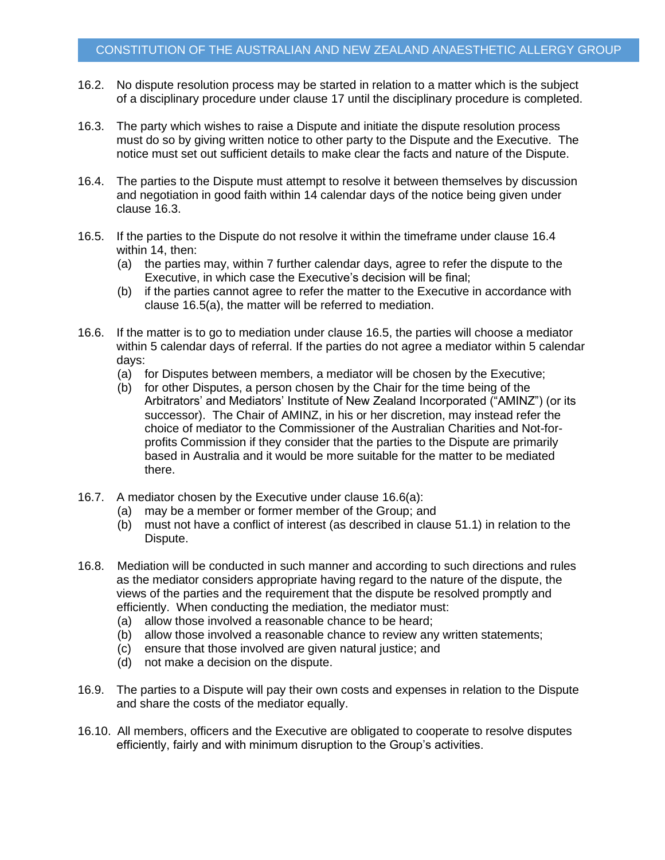- 16.2. No dispute resolution process may be started in relation to a matter which is the subject of a disciplinary procedure under clause [17](#page-6-0) until the disciplinary procedure is completed.
- <span id="page-5-0"></span>16.3. The party which wishes to raise a Dispute and initiate the dispute resolution process must do so by giving written notice to other party to the Dispute and the Executive. The notice must set out sufficient details to make clear the facts and nature of the Dispute.
- <span id="page-5-1"></span>16.4. The parties to the Dispute must attempt to resolve it between themselves by discussion and negotiation in good faith within 14 calendar days of the notice being given under clause [16.3.](#page-5-0)
- <span id="page-5-3"></span><span id="page-5-2"></span>16.5. If the parties to the Dispute do not resolve it within the timeframe under clause [16.4](#page-5-1) within 14, then:
	- (a) the parties may, within 7 further calendar days, agree to refer the dispute to the Executive, in which case the Executive's decision will be final;
	- (b) if the parties cannot agree to refer the matter to the Executive in accordance with clause [16.5](#page-5-2)[\(a\),](#page-5-3) the matter will be referred to mediation.
- <span id="page-5-4"></span>16.6. If the matter is to go to mediation under clause [16.5,](#page-5-2) the parties will choose a mediator within 5 calendar days of referral. If the parties do not agree a mediator within 5 calendar days:
	- (a) for Disputes between members, a mediator will be chosen by the Executive;
	- (b) for other Disputes, a person chosen by the Chair for the time being of the Arbitrators' and Mediators' Institute of New Zealand Incorporated ("AMINZ") (or its successor). The Chair of AMINZ, in his or her discretion, may instead refer the choice of mediator to the Commissioner of the Australian Charities and Not-forprofits Commission if they consider that the parties to the Dispute are primarily based in Australia and it would be more suitable for the matter to be mediated there.
- 16.7. A mediator chosen by the Executive under clause [16.6\(a\):](#page-5-4)
	- (a) may be a member or former member of the Group; and
	- (b) must not have a conflict of interest (as described in clause [51.1\)](#page-17-0) in relation to the Dispute.
- 16.8. Mediation will be conducted in such manner and according to such directions and rules as the mediator considers appropriate having regard to the nature of the dispute, the views of the parties and the requirement that the dispute be resolved promptly and efficiently. When conducting the mediation, the mediator must:
	- (a) allow those involved a reasonable chance to be heard;
	- (b) allow those involved a reasonable chance to review any written statements;
	- (c) ensure that those involved are given natural justice; and
	- (d) not make a decision on the dispute.
- 16.9. The parties to a Dispute will pay their own costs and expenses in relation to the Dispute and share the costs of the mediator equally.
- 16.10. All members, officers and the Executive are obligated to cooperate to resolve disputes efficiently, fairly and with minimum disruption to the Group's activities.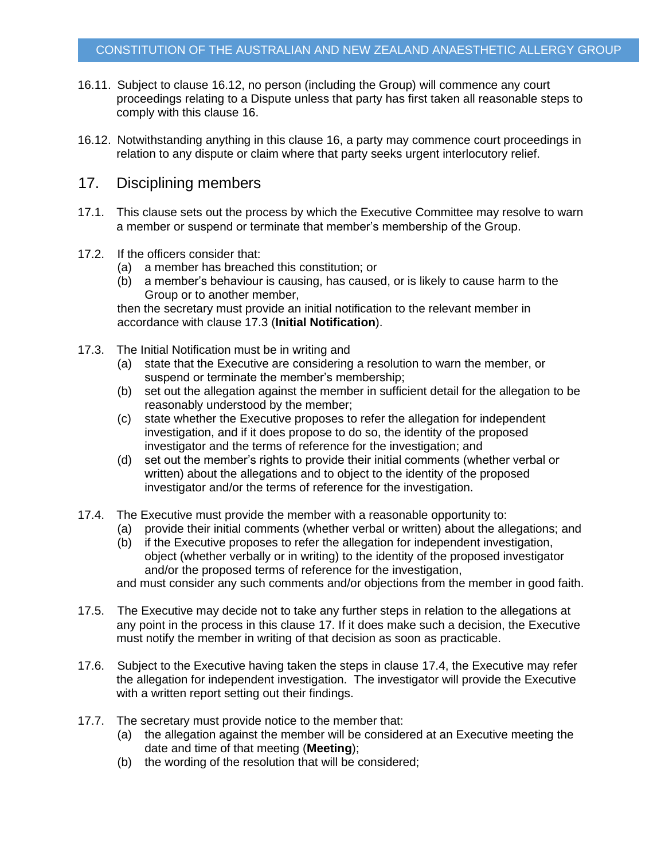- 16.11. Subject to clause [16.12,](#page-6-1) no person (including the Group) will commence any court proceedings relating to a Dispute unless that party has first taken all reasonable steps to comply with this clause [16.](#page-4-0)
- <span id="page-6-1"></span>16.12. Notwithstanding anything in this clause [16,](#page-4-0) a party may commence court proceedings in relation to any dispute or claim where that party seeks urgent interlocutory relief.

### <span id="page-6-0"></span>17. Disciplining members

- 17.1. This clause sets out the process by which the Executive Committee may resolve to warn a member or suspend or terminate that member's membership of the Group.
- 17.2. If the officers consider that:
	- (a) a member has breached this constitution; or
	- (b) a member's behaviour is causing, has caused, or is likely to cause harm to the Group or to another member,

then the secretary must provide an initial notification to the relevant member in accordance with clause [17.3](#page-6-2) (**Initial Notification**).

- <span id="page-6-2"></span>17.3. The Initial Notification must be in writing and
	- (a) state that the Executive are considering a resolution to warn the member, or suspend or terminate the member's membership;
	- (b) set out the allegation against the member in sufficient detail for the allegation to be reasonably understood by the member;
	- (c) state whether the Executive proposes to refer the allegation for independent investigation, and if it does propose to do so, the identity of the proposed investigator and the terms of reference for the investigation; and
	- (d) set out the member's rights to provide their initial comments (whether verbal or written) about the allegations and to object to the identity of the proposed investigator and/or the terms of reference for the investigation.
- <span id="page-6-3"></span>17.4. The Executive must provide the member with a reasonable opportunity to:
	- (a) provide their initial comments (whether verbal or written) about the allegations; and
	- (b) if the Executive proposes to refer the allegation for independent investigation, object (whether verbally or in writing) to the identity of the proposed investigator and/or the proposed terms of reference for the investigation,

and must consider any such comments and/or objections from the member in good faith.

- 17.5. The Executive may decide not to take any further steps in relation to the allegations at any point in the process in this clause [17.](#page-6-0) If it does make such a decision, the Executive must notify the member in writing of that decision as soon as practicable.
- 17.6. Subject to the Executive having taken the steps in clause [17.4,](#page-6-3) the Executive may refer the allegation for independent investigation. The investigator will provide the Executive with a written report setting out their findings.
- 17.7. The secretary must provide notice to the member that:
	- (a) the allegation against the member will be considered at an Executive meeting the date and time of that meeting (**Meeting**);
	- (b) the wording of the resolution that will be considered;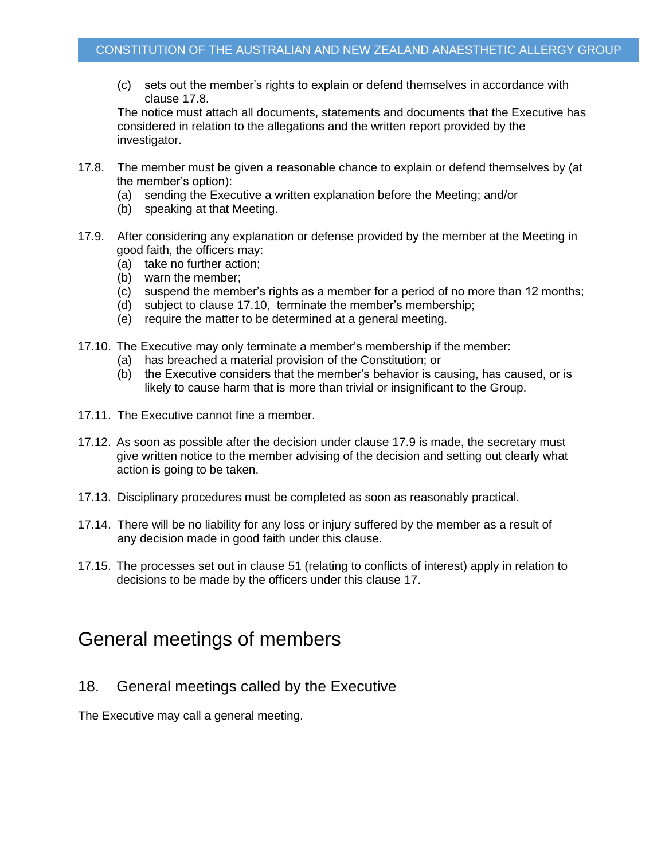(c) sets out the member's rights to explain or defend themselves in accordance with clause [17.8.](#page-7-0)

The notice must attach all documents, statements and documents that the Executive has considered in relation to the allegations and the written report provided by the investigator.

- <span id="page-7-0"></span>17.8. The member must be given a reasonable chance to explain or defend themselves by (at the member's option):
	- (a) sending the Executive a written explanation before the Meeting; and/or
	- (b) speaking at that Meeting.
- <span id="page-7-2"></span>17.9. After considering any explanation or defense provided by the member at the Meeting in good faith, the officers may:
	- (a) take no further action;
	- (b) warn the member;
	- (c) suspend the member's rights as a member for a period of no more than 12 months;
	- (d) subject to clause [17.10,](#page-7-1) terminate the member's membership;
	- (e) require the matter to be determined at a general meeting.
- <span id="page-7-1"></span>17.10. The Executive may only terminate a member's membership if the member:
	- (a) has breached a material provision of the Constitution; or
	- (b) the Executive considers that the member's behavior is causing, has caused, or is likely to cause harm that is more than trivial or insignificant to the Group.
- 17.11. The Executive cannot fine a member.
- 17.12. As soon as possible after the decision under clause [17.9](#page-7-2) is made, the secretary must give written notice to the member advising of the decision and setting out clearly what action is going to be taken.
- 17.13. Disciplinary procedures must be completed as soon as reasonably practical.
- 17.14. There will be no liability for any loss or injury suffered by the member as a result of any decision made in good faith under this clause.
- 17.15. The processes set out in clause [51](#page-17-1) (relating to conflicts of interest) apply in relation to decisions to be made by the officers under this clause [17.](#page-6-0)

### General meetings of members

18. General meetings called by the Executive

The Executive may call a general meeting.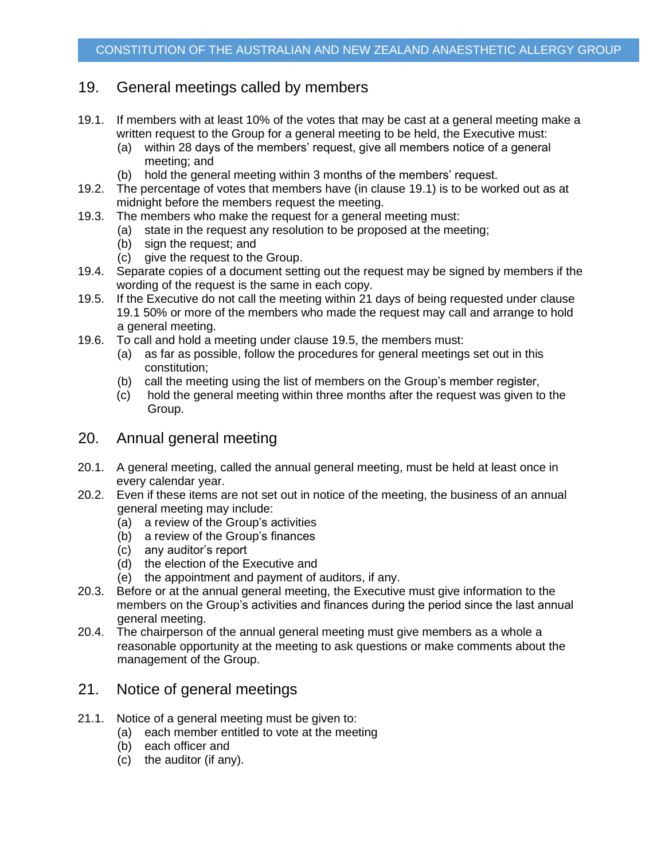### 19. General meetings called by members

- <span id="page-8-0"></span>19.1. If members with at least 10% of the votes that may be cast at a general meeting make a written request to the Group for a general meeting to be held, the Executive must:
	- (a) within 28 days of the members' request, give all members notice of a general meeting; and
	- (b) hold the general meeting within 3 months of the members' request.
- 19.2. The percentage of votes that members have (in clause [19.1\)](#page-8-0) is to be worked out as at midnight before the members request the meeting.
- 19.3. The members who make the request for a general meeting must:
	- (a) state in the request any resolution to be proposed at the meeting;
	- (b) sign the request; and
	- (c) give the request to the Group.
- 19.4. Separate copies of a document setting out the request may be signed by members if the wording of the request is the same in each copy.
- <span id="page-8-1"></span>19.5. If the Executive do not call the meeting within 21 days of being requested under clause [19.1](#page-8-0) 50% or more of the members who made the request may call and arrange to hold a general meeting.
- 19.6. To call and hold a meeting under clause [19.5,](#page-8-1) the members must:
	- (a) as far as possible, follow the procedures for general meetings set out in this constitution;
	- (b) call the meeting using the list of members on the Group's member register,
	- (c) hold the general meeting within three months after the request was given to the Group.

### 20. Annual general meeting

- 20.1. A general meeting, called the annual general meeting, must be held at least once in every calendar year.
- 20.2. Even if these items are not set out in notice of the meeting, the business of an annual general meeting may include:
	- (a) a review of the Group's activities
	- (b) a review of the Group's finances
	- (c) any auditor's report
	- (d) the election of the Executive and
	- (e) the appointment and payment of auditors, if any.
- 20.3. Before or at the annual general meeting, the Executive must give information to the members on the Group's activities and finances during the period since the last annual general meeting.
- 20.4. The chairperson of the annual general meeting must give members as a whole a reasonable opportunity at the meeting to ask questions or make comments about the management of the Group.

### 21. Notice of general meetings

- 21.1. Notice of a general meeting must be given to:
	- (a) each member entitled to vote at the meeting
	- (b) each officer and
	- (c) the auditor (if any).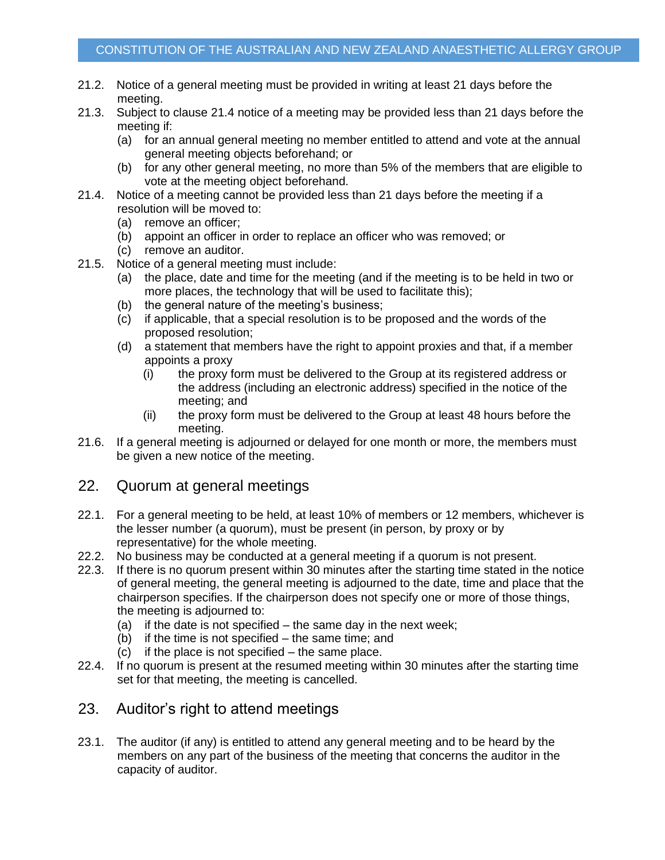- 21.2. Notice of a general meeting must be provided in writing at least 21 days before the meeting.
- 21.3. Subject to clause [21.4](#page-9-0) notice of a meeting may be provided less than 21 days before the meeting if:
	- (a) for an annual general meeting no member entitled to attend and vote at the annual general meeting objects beforehand; or
	- (b) for any other general meeting, no more than 5% of the members that are eligible to vote at the meeting object beforehand.
- <span id="page-9-0"></span>21.4. Notice of a meeting cannot be provided less than 21 days before the meeting if a resolution will be moved to:
	- (a) remove an officer;
	- (b) appoint an officer in order to replace an officer who was removed; or
	- (c) remove an auditor.
- 21.5. Notice of a general meeting must include:
	- (a) the place, date and time for the meeting (and if the meeting is to be held in two or more places, the technology that will be used to facilitate this);
	- (b) the general nature of the meeting's business;
	- (c) if applicable, that a special resolution is to be proposed and the words of the proposed resolution;
	- (d) a statement that members have the right to appoint proxies and that, if a member appoints a proxy
		- (i) the proxy form must be delivered to the Group at its registered address or the address (including an electronic address) specified in the notice of the meeting; and
		- (ii) the proxy form must be delivered to the Group at least 48 hours before the meeting.
- 21.6. If a general meeting is adjourned or delayed for one month or more, the members must be given a new notice of the meeting.

### 22. Quorum at general meetings

- 22.1. For a general meeting to be held, at least 10% of members or 12 members, whichever is the lesser number (a quorum), must be present (in person, by proxy or by representative) for the whole meeting.
- 22.2. No business may be conducted at a general meeting if a quorum is not present.
- 22.3. If there is no quorum present within 30 minutes after the starting time stated in the notice of general meeting, the general meeting is adjourned to the date, time and place that the chairperson specifies. If the chairperson does not specify one or more of those things, the meeting is adjourned to:
	- (a) if the date is not specified the same day in the next week;
	- (b) if the time is not specified the same time; and
	- (c) if the place is not specified the same place.
- 22.4. If no quorum is present at the resumed meeting within 30 minutes after the starting time set for that meeting, the meeting is cancelled.

### 23. Auditor's right to attend meetings

23.1. The auditor (if any) is entitled to attend any general meeting and to be heard by the members on any part of the business of the meeting that concerns the auditor in the capacity of auditor.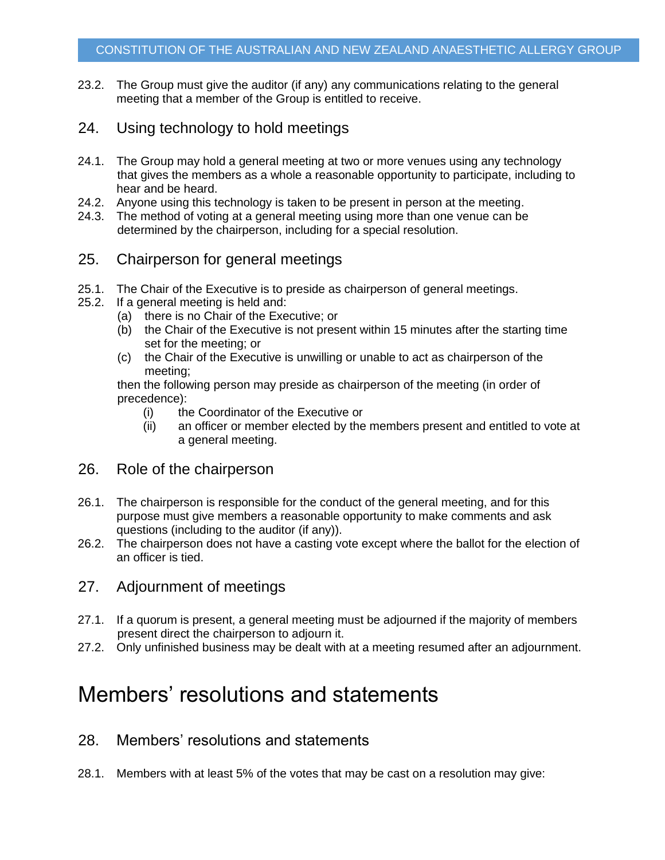- 23.2. The Group must give the auditor (if any) any communications relating to the general meeting that a member of the Group is entitled to receive.
- 24. Using technology to hold meetings
- 24.1. The Group may hold a general meeting at two or more venues using any technology that gives the members as a whole a reasonable opportunity to participate, including to hear and be heard.
- 24.2. Anyone using this technology is taken to be present in person at the meeting.
- 24.3. The method of voting at a general meeting using more than one venue can be determined by the chairperson, including for a special resolution.
- 25. Chairperson for general meetings
- 25.1. The Chair of the Executive is to preside as chairperson of general meetings.
- 25.2. If a general meeting is held and:
	- (a) there is no Chair of the Executive; or
	- (b) the Chair of the Executive is not present within 15 minutes after the starting time set for the meeting; or
	- (c) the Chair of the Executive is unwilling or unable to act as chairperson of the meeting;

then the following person may preside as chairperson of the meeting (in order of precedence):

- (i) the Coordinator of the Executive or
- (ii) an officer or member elected by the members present and entitled to vote at a general meeting.
- <span id="page-10-2"></span>26. Role of the chairperson
- 26.1. The chairperson is responsible for the conduct of the general meeting, and for this purpose must give members a reasonable opportunity to make comments and ask questions (including to the auditor (if any)).
- 26.2. The chairperson does not have a casting vote except where the ballot for the election of an officer is tied.

#### 27. Adjournment of meetings

- 27.1. If a quorum is present, a general meeting must be adjourned if the majority of members present direct the chairperson to adjourn it.
- 27.2. Only unfinished business may be dealt with at a meeting resumed after an adjournment.

### Members' resolutions and statements

- <span id="page-10-1"></span>28. Members' resolutions and statements
- <span id="page-10-0"></span>28.1. Members with at least 5% of the votes that may be cast on a resolution may give: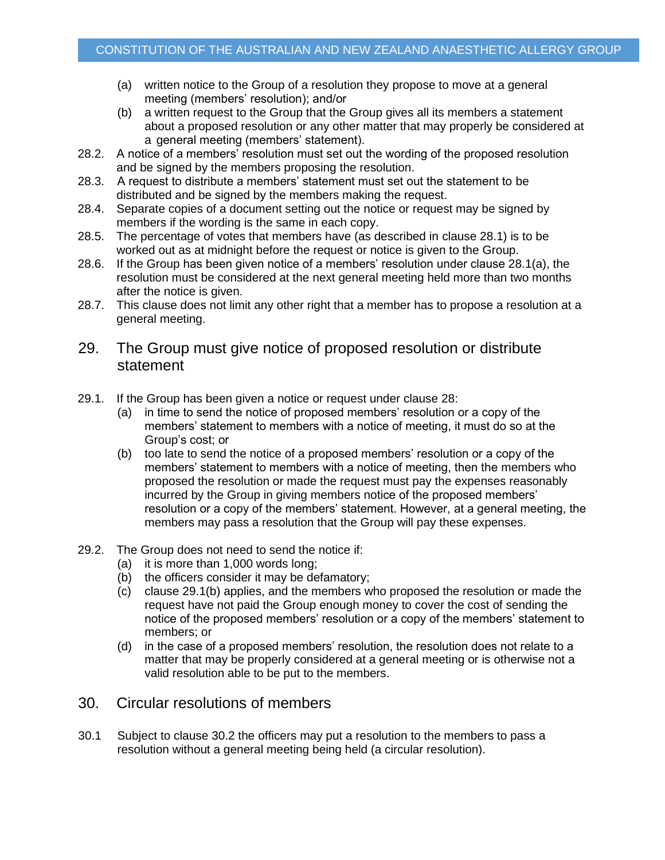- <span id="page-11-0"></span>(a) written notice to the Group of a resolution they propose to move at a general meeting (members' resolution); and/or
- (b) a written request to the Group that the Group gives all its members a statement about a proposed resolution or any other matter that may properly be considered at a general meeting (members' statement).
- 28.2. A notice of a members' resolution must set out the wording of the proposed resolution and be signed by the members proposing the resolution.
- 28.3. A request to distribute a members' statement must set out the statement to be distributed and be signed by the members making the request.
- 28.4. Separate copies of a document setting out the notice or request may be signed by members if the wording is the same in each copy.
- 28.5. The percentage of votes that members have (as described in clause [28.1\)](#page-10-0) is to be worked out as at midnight before the request or notice is given to the Group.
- 28.6. If the Group has been given notice of a members' resolution under clause [28.1\(a\),](#page-11-0) the resolution must be considered at the next general meeting held more than two months after the notice is given.
- 28.7. This clause does not limit any other right that a member has to propose a resolution at a general meeting.
- 29. The Group must give notice of proposed resolution or distribute statement
- <span id="page-11-1"></span>29.1. If the Group has been given a notice or request under clause [28:](#page-10-1)
	- (a) in time to send the notice of proposed members' resolution or a copy of the members' statement to members with a notice of meeting, it must do so at the Group's cost; or
	- (b) too late to send the notice of a proposed members' resolution or a copy of the members' statement to members with a notice of meeting, then the members who proposed the resolution or made the request must pay the expenses reasonably incurred by the Group in giving members notice of the proposed members' resolution or a copy of the members' statement. However, at a general meeting, the members may pass a resolution that the Group will pay these expenses.
- 29.2. The Group does not need to send the notice if:
	- (a) it is more than 1,000 words long;
	- (b) the officers consider it may be defamatory;
	- (c) clause [29.1\(b\)](#page-11-1) applies, and the members who proposed the resolution or made the request have not paid the Group enough money to cover the cost of sending the notice of the proposed members' resolution or a copy of the members' statement to members; or
	- (d) in the case of a proposed members' resolution, the resolution does not relate to a matter that may be properly considered at a general meeting or is otherwise not a valid resolution able to be put to the members.
- 30. Circular resolutions of members
- 30.1 Subject to clause 30.2 the officers may put a resolution to the members to pass a resolution without a general meeting being held (a circular resolution).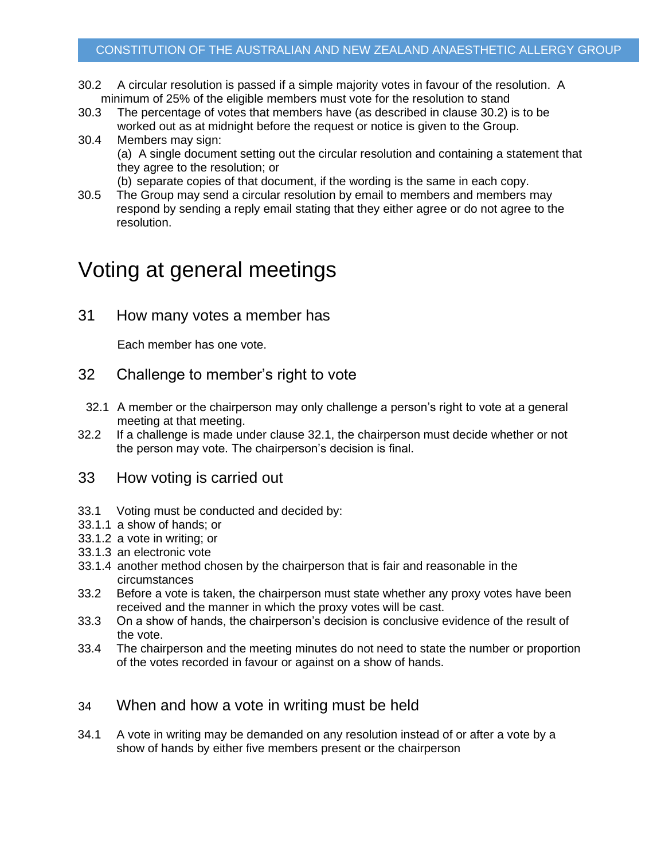- 30.2 A circular resolution is passed if a simple majority votes in favour of the resolution. A minimum of 25% of the eligible members must vote for the resolution to stand
- 30.3 The percentage of votes that members have (as described in clause 30.2) is to be worked out as at midnight before the request or notice is given to the Group.
- 30.4 Members may sign: (a) A single document setting out the circular resolution and containing a statement that they agree to the resolution; or (b) separate copies of that document, if the wording is the same in each copy.
- 30.5 The Group may send a circular resolution by email to members and members may respond by sending a reply email stating that they either agree or do not agree to the resolution.

## Voting at general meetings

31 How many votes a member has

Each member has one vote.

- 32 Challenge to member's right to vote
- <span id="page-12-0"></span>32.1 A member or the chairperson may only challenge a person's right to vote at a general meeting at that meeting.
- 32.2 If a challenge is made under clause [32.1,](#page-12-0) the chairperson must decide whether or not the person may vote. The chairperson's decision is final.
- 33 How voting is carried out
- 33.1 Voting must be conducted and decided by:
- 33.1.1 a show of hands; or
- 33.1.2 a vote in writing; or
- 33.1.3 an electronic vote
- 33.1.4 another method chosen by the chairperson that is fair and reasonable in the circumstances
- 33.2 Before a vote is taken, the chairperson must state whether any proxy votes have been received and the manner in which the proxy votes will be cast.
- 33.3 On a show of hands, the chairperson's decision is conclusive evidence of the result of the vote.
- 33.4 The chairperson and the meeting minutes do not need to state the number or proportion of the votes recorded in favour or against on a show of hands.
- 34 When and how a vote in writing must be held
- <span id="page-12-1"></span>34.1 A vote in writing may be demanded on any resolution instead of or after a vote by a show of hands by either five members present or the chairperson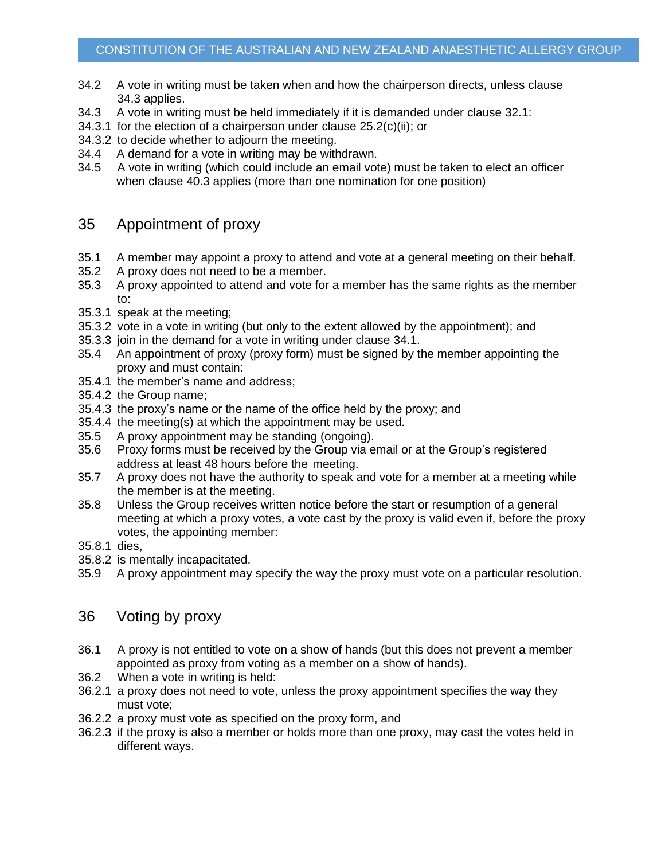- 34.2 A vote in writing must be taken when and how the chairperson directs, unless clause [34.3](#page-13-0) applies.
- <span id="page-13-0"></span>34.3 A vote in writing must be held immediately if it is demanded under clause [32.1:](#page-12-0)
- 34.3.1 for the election of a chairperson under clause [25.2\(c\)\(ii\);](#page-10-2) or
- 34.3.2 to decide whether to adjourn the meeting.
- 34.4 A demand for a vote in writing may be withdrawn.
- 34.5 A vote in writing (which could include an email vote) must be taken to elect an officer when clause [40.3](#page-14-1) applies (more than one nomination for one position)

### <span id="page-13-1"></span>35 Appointment of proxy

- 35.1 A member may appoint a proxy to attend and vote at a general meeting on their behalf.
- 35.2 A proxy does not need to be a member.
- 35.3 A proxy appointed to attend and vote for a member has the same rights as the member to:
- 35.3.1 speak at the meeting;
- 35.3.2 vote in a vote in writing (but only to the extent allowed by the appointment); and
- 35.3.3 join in the demand for a vote in writing under clause [34.1.](#page-12-1)
- 35.4 An appointment of proxy (proxy form) must be signed by the member appointing the proxy and must contain:
- 35.4.1 the member's name and address;
- 35.4.2 the Group name;
- 35.4.3 the proxy's name or the name of the office held by the proxy; and
- 35.4.4 the meeting(s) at which the appointment may be used.
- 35.5 A proxy appointment may be standing (ongoing).
- 35.6 Proxy forms must be received by the Group via email or at the Group's registered address at least 48 hours before the meeting.
- 35.7 A proxy does not have the authority to speak and vote for a member at a meeting while the member is at the meeting.
- 35.8 Unless the Group receives written notice before the start or resumption of a general meeting at which a proxy votes, a vote cast by the proxy is valid even if, before the proxy votes, the appointing member:
- 35.8.1 dies,
- 35.8.2 is mentally incapacitated.
- 35.9 A proxy appointment may specify the way the proxy must vote on a particular resolution.

### 36 Voting by proxy

- 36.1 A proxy is not entitled to vote on a show of hands (but this does not prevent a member appointed as proxy from voting as a member on a show of hands).
- 36.2 When a vote in writing is held:
- 36.2.1 a proxy does not need to vote, unless the proxy appointment specifies the way they must vote;
- 36.2.2 a proxy must vote as specified on the proxy form, and
- 36.2.3 if the proxy is also a member or holds more than one proxy, may cast the votes held in different ways.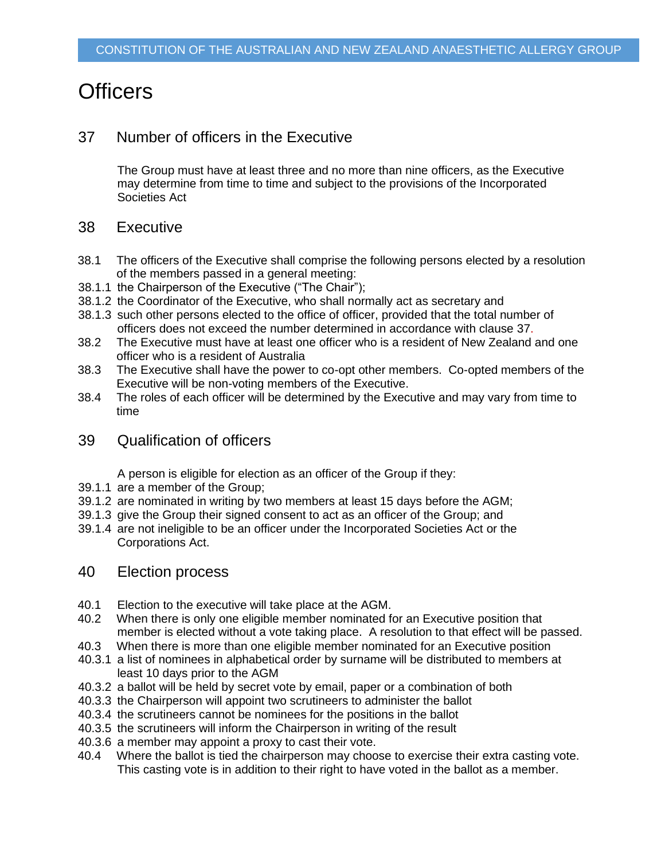## **Officers**

### <span id="page-14-2"></span>37 Number of officers in the Executive

The Group must have at least three and no more than nine officers, as the Executive may determine from time to time and subject to the provisions of the Incorporated Societies Act

### 38 Executive

- 38.1 The officers of the Executive shall comprise the following persons elected by a resolution of the members passed in a general meeting:
- <span id="page-14-0"></span>38.1.1 the Chairperson of the Executive ("The Chair");
- 38.1.2 the Coordinator of the Executive, who shall normally act as secretary and
- 38.1.3 such other persons elected to the office of officer, provided that the total number of officers does not exceed the number determined in accordance with clause [37.](#page-14-2)
- 38.2 The Executive must have at least one officer who is a resident of New Zealand and one officer who is a resident of Australia
- 38.3 The Executive shall have the power to co-opt other members. Co-opted members of the Executive will be non-voting members of the Executive.
- 38.4 The roles of each officer will be determined by the Executive and may vary from time to time
- 39 Qualification of officers

A person is eligible for election as an officer of the Group if they:

- 39.1.1 are a member of the Group;
- 39.1.2 are nominated in writing by two members at least 15 days before the AGM;
- 39.1.3 give the Group their signed consent to act as an officer of the Group; and
- 39.1.4 are not ineligible to be an officer under the Incorporated Societies Act or the Corporations Act.

#### 40 Election process

- 40.1 Election to the executive will take place at the AGM.
- 40.2 When there is only one eligible member nominated for an Executive position that member is elected without a vote taking place. A resolution to that effect will be passed.
- <span id="page-14-1"></span>40.3 When there is more than one eligible member nominated for an Executive position
- 40.3.1 a list of nominees in alphabetical order by surname will be distributed to members at least 10 days prior to the AGM
- 40.3.2 a ballot will be held by secret vote by email, paper or a combination of both
- 40.3.3 the Chairperson will appoint two scrutineers to administer the ballot
- 40.3.4 the scrutineers cannot be nominees for the positions in the ballot
- 40.3.5 the scrutineers will inform the Chairperson in writing of the result
- 40.3.6 a member may appoint a proxy to cast their vote.
- 40.4 Where the ballot is tied the chairperson may choose to exercise their extra casting vote. This casting vote is in addition to their right to have voted in the ballot as a member.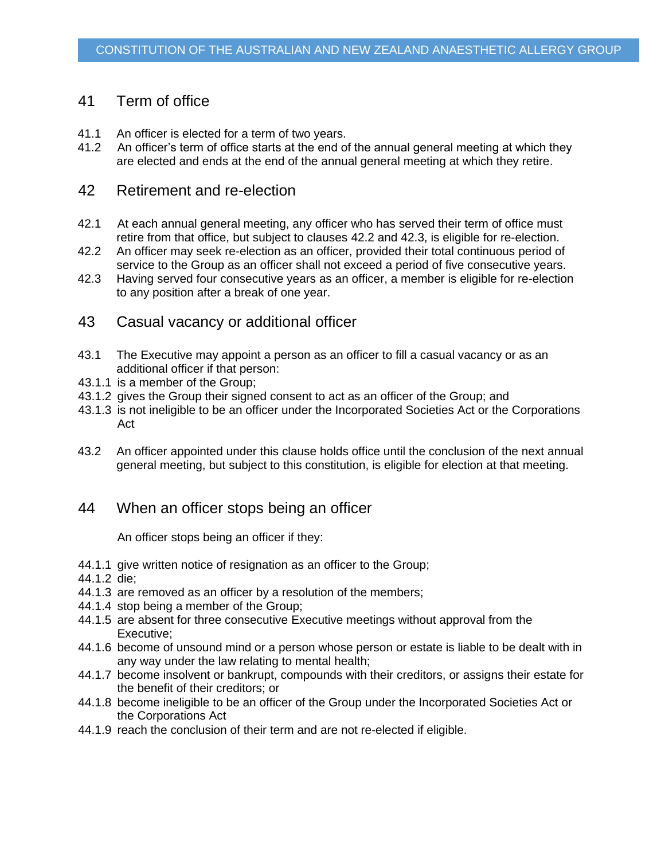### 41 Term of office

- 41.1 An officer is elected for a term of two years.
- 41.2 An officer's term of office starts at the end of the annual general meeting at which they are elected and ends at the end of the annual general meeting at which they retire.

### 42 Retirement and re-election

- 42.1 At each annual general meeting, any officer who has served their term of office must retire from that office, but subject to clauses [42.2](#page-15-0) and [42.3,](#page-15-1) is eligible for re-election.
- <span id="page-15-0"></span>42.2 An officer may seek re-election as an officer, provided their total continuous period of service to the Group as an officer shall not exceed a period of five consecutive years.
- <span id="page-15-1"></span>42.3 Having served four consecutive years as an officer, a member is eligible for re-election to any position after a break of one year.
- 43 Casual vacancy or additional officer
- 43.1 The Executive may appoint a person as an officer to fill a casual vacancy or as an additional officer if that person:
- 43.1.1 is a member of the Group;
- 43.1.2 gives the Group their signed consent to act as an officer of the Group; and
- 43.1.3 is not ineligible to be an officer under the Incorporated Societies Act or the Corporations Act
- 43.2 An officer appointed under this clause holds office until the conclusion of the next annual general meeting, but subject to this constitution, is eligible for election at that meeting.

### 44 When an officer stops being an officer

An officer stops being an officer if they:

- 44.1.1 give written notice of resignation as an officer to the Group;
- 44.1.2 die;
- 44.1.3 are removed as an officer by a resolution of the members;
- 44.1.4 stop being a member of the Group;
- 44.1.5 are absent for three consecutive Executive meetings without approval from the Executive;
- 44.1.6 become of unsound mind or a person whose person or estate is liable to be dealt with in any way under the law relating to mental health;
- 44.1.7 become insolvent or bankrupt, compounds with their creditors, or assigns their estate for the benefit of their creditors; or
- 44.1.8 become ineligible to be an officer of the Group under the Incorporated Societies Act or the Corporations Act
- 44.1.9 reach the conclusion of their term and are not re-elected if eligible.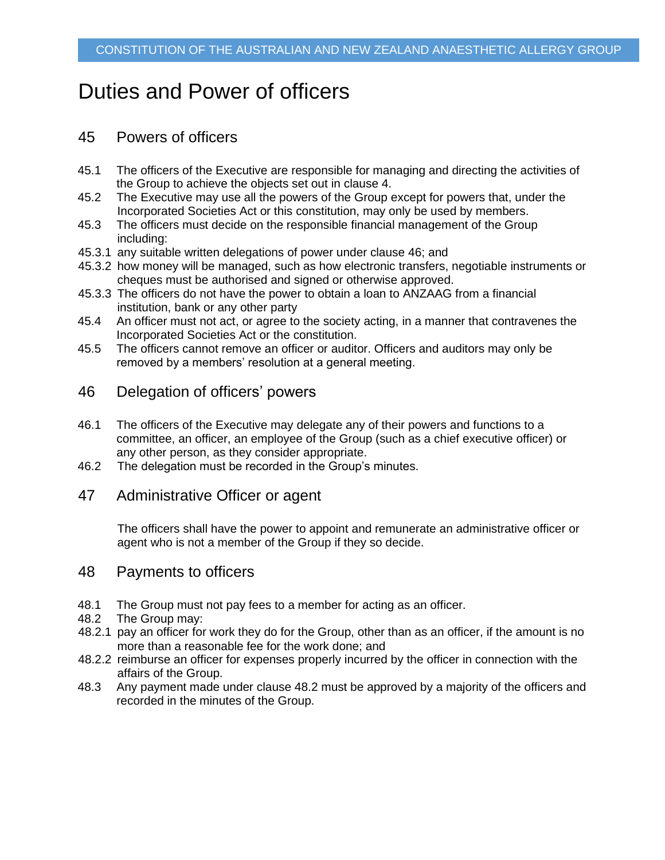## Duties and Power of officers

### 45 Powers of officers

- 45.1 The officers of the Executive are responsible for managing and directing the activities of the Group to achieve the objects set out in clause [4.](#page-1-0)
- 45.2 The Executive may use all the powers of the Group except for powers that, under the Incorporated Societies Act or this constitution, may only be used by members.
- 45.3 The officers must decide on the responsible financial management of the Group including:
- 45.3.1 any suitable written delegations of power under clause [46;](#page-16-1) and
- 45.3.2 how money will be managed, such as how electronic transfers, negotiable instruments or cheques must be authorised and signed or otherwise approved.
- 45.3.3 The officers do not have the power to obtain a loan to ANZAAG from a financial institution, bank or any other party
- 45.4 An officer must not act, or agree to the society acting, in a manner that contravenes the Incorporated Societies Act or the constitution.
- 45.5 The officers cannot remove an officer or auditor. Officers and auditors may only be removed by a members' resolution at a general meeting.

### <span id="page-16-1"></span>46 Delegation of officers' powers

- 46.1 The officers of the Executive may delegate any of their powers and functions to a committee, an officer, an employee of the Group (such as a chief executive officer) or any other person, as they consider appropriate.
- 46.2 The delegation must be recorded in the Group's minutes.

#### 47 Administrative Officer or agent

The officers shall have the power to appoint and remunerate an administrative officer or agent who is not a member of the Group if they so decide.

#### <span id="page-16-0"></span>48 Payments to officers

- 48.1 The Group must not pay fees to a member for acting as an officer.
- <span id="page-16-2"></span>48.2 The Group may:
- 48.2.1 pay an officer for work they do for the Group, other than as an officer, if the amount is no more than a reasonable fee for the work done; and
- 48.2.2 reimburse an officer for expenses properly incurred by the officer in connection with the affairs of the Group.
- 48.3 Any payment made under clause [48.2](#page-16-2) must be approved by a majority of the officers and recorded in the minutes of the Group.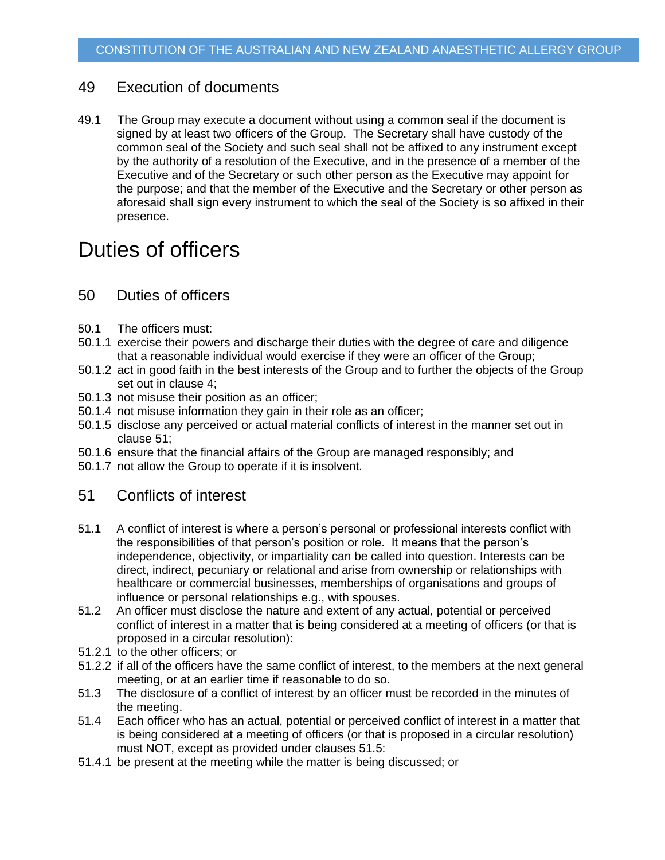### 49 Execution of documents

49.1 The Group may execute a document without using a common seal if the document is signed by at least two officers of the Group. The Secretary shall have custody of the common seal of the Society and such seal shall not be affixed to any instrument except by the authority of a resolution of the Executive, and in the presence of a member of the Executive and of the Secretary or such other person as the Executive may appoint for the purpose; and that the member of the Executive and the Secretary or other person as aforesaid shall sign every instrument to which the seal of the Society is so affixed in their presence.

### Duties of officers

### 50 Duties of officers

- 50.1 The officers must:
- 50.1.1 exercise their powers and discharge their duties with the degree of care and diligence that a reasonable individual would exercise if they were an officer of the Group;
- 50.1.2 act in good faith in the best interests of the Group and to further the objects of the Group set out in clause [4;](#page-1-0)
- 50.1.3 not misuse their position as an officer;
- 50.1.4 not misuse information they gain in their role as an officer;
- 50.1.5 disclose any perceived or actual material conflicts of interest in the manner set out in clause [51;](#page-17-1)
- 50.1.6 ensure that the financial affairs of the Group are managed responsibly; and
- 50.1.7 not allow the Group to operate if it is insolvent.

### <span id="page-17-1"></span>51 Conflicts of interest

- <span id="page-17-0"></span>51.1 A conflict of interest is where a person's personal or professional interests conflict with the responsibilities of that person's position or role. It means that the person's independence, objectivity, or impartiality can be called into question. Interests can be direct, indirect, pecuniary or relational and arise from ownership or relationships with healthcare or commercial businesses, memberships of organisations and groups of influence or personal relationships e.g., with spouses.
- 51.2 An officer must disclose the nature and extent of any actual, potential or perceived conflict of interest in a matter that is being considered at a meeting of officers (or that is proposed in a circular resolution):
- 51.2.1 to the other officers; or
- 51.2.2 if all of the officers have the same conflict of interest, to the members at the next general meeting, or at an earlier time if reasonable to do so.
- 51.3 The disclosure of a conflict of interest by an officer must be recorded in the minutes of the meeting.
- 51.4 Each officer who has an actual, potential or perceived conflict of interest in a matter that is being considered at a meeting of officers (or that is proposed in a circular resolution) must NOT, except as provided under clauses [51.5:](#page-18-0)
- 51.4.1 be present at the meeting while the matter is being discussed; or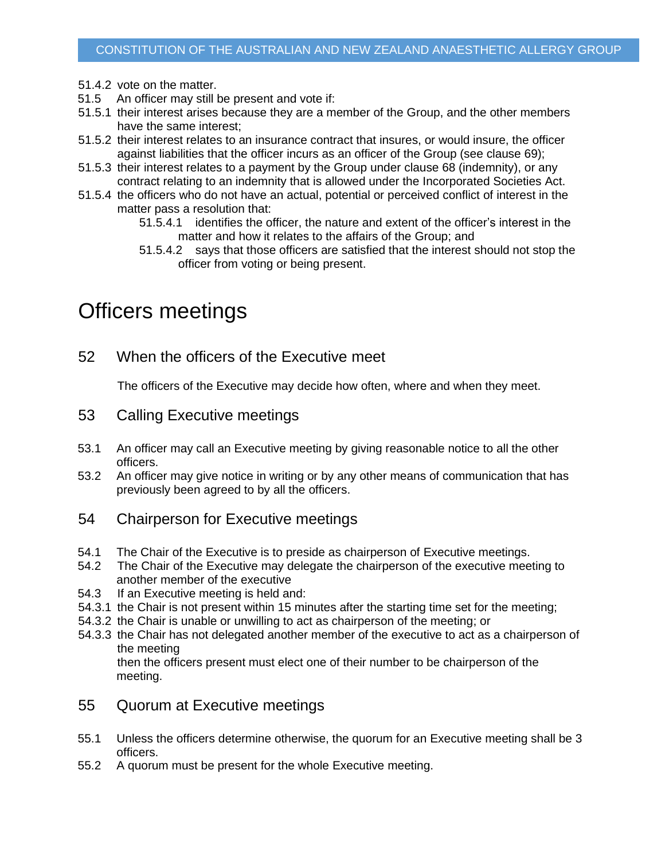- 51.4.2 vote on the matter.
- <span id="page-18-0"></span>51.5 An officer may still be present and vote if:
- 51.5.1 their interest arises because they are a member of the Group, and the other members have the same interest;
- 51.5.2 their interest relates to an insurance contract that insures, or would insure, the officer against liabilities that the officer incurs as an officer of the Group (see clause [69\)](#page-22-0);
- 51.5.3 their interest relates to a payment by the Group under clause [68](#page-22-1) (indemnity), or any contract relating to an indemnity that is allowed under the Incorporated Societies Act.
- 51.5.4 the officers who do not have an actual, potential or perceived conflict of interest in the matter pass a resolution that:
	- 51.5.4.1 identifies the officer, the nature and extent of the officer's interest in the matter and how it relates to the affairs of the Group; and
	- 51.5.4.2 says that those officers are satisfied that the interest should not stop the officer from voting or being present.

## Officers meetings

52 When the officers of the Executive meet

The officers of the Executive may decide how often, where and when they meet.

- 53 Calling Executive meetings
- 53.1 An officer may call an Executive meeting by giving reasonable notice to all the other officers.
- 53.2 An officer may give notice in writing or by any other means of communication that has previously been agreed to by all the officers.
- 54 Chairperson for Executive meetings
- 54.1 The Chair of the Executive is to preside as chairperson of Executive meetings.
- 54.2 The Chair of the Executive may delegate the chairperson of the executive meeting to another member of the executive
- 54.3 If an Executive meeting is held and:
- 54.3.1 the Chair is not present within 15 minutes after the starting time set for the meeting;
- 54.3.2 the Chair is unable or unwilling to act as chairperson of the meeting; or
- 54.3.3 the Chair has not delegated another member of the executive to act as a chairperson of the meeting

then the officers present must elect one of their number to be chairperson of the meeting.

- 55 Quorum at Executive meetings
- 55.1 Unless the officers determine otherwise, the quorum for an Executive meeting shall be 3 officers.
- 55.2 A quorum must be present for the whole Executive meeting.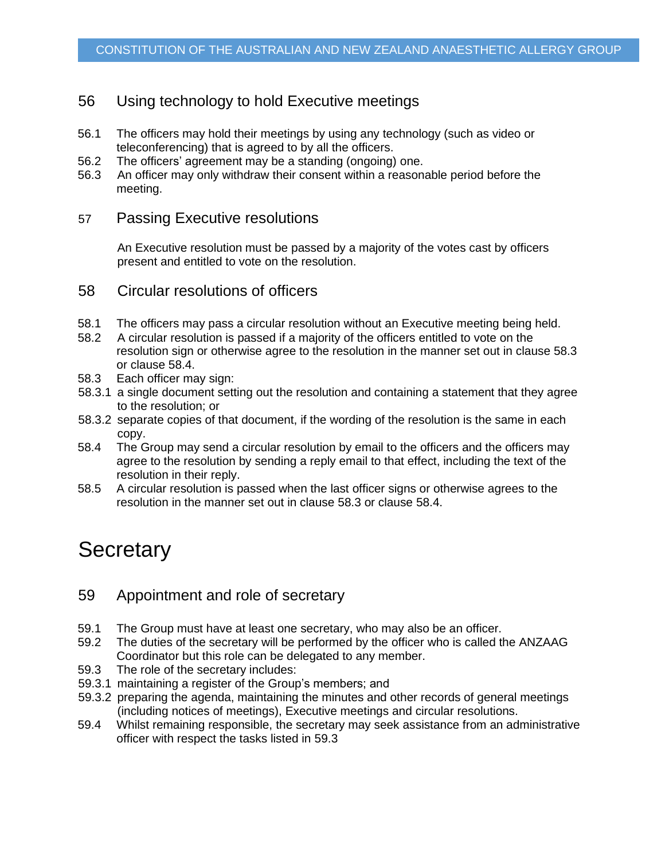### 56 Using technology to hold Executive meetings

- 56.1 The officers may hold their meetings by using any technology (such as video or teleconferencing) that is agreed to by all the officers.
- 56.2 The officers' agreement may be a standing (ongoing) one.
- 56.3 An officer may only withdraw their consent within a reasonable period before the meeting.

### 57 Passing Executive resolutions

An Executive resolution must be passed by a majority of the votes cast by officers present and entitled to vote on the resolution.

### 58 Circular resolutions of officers

- 58.1 The officers may pass a circular resolution without an Executive meeting being held.
- 58.2 A circular resolution is passed if a majority of the officers entitled to vote on the resolution sign or otherwise agree to the resolution in the manner set out in clause [58.3](#page-19-0) or clause [58.4.](#page-19-1)
- <span id="page-19-0"></span>58.3 Each officer may sign:
- 58.3.1 a single document setting out the resolution and containing a statement that they agree to the resolution; or
- 58.3.2 separate copies of that document, if the wording of the resolution is the same in each copy.
- <span id="page-19-2"></span><span id="page-19-1"></span>58.4 The Group may send a circular resolution by email to the officers and the officers may agree to the resolution by sending a reply email to that effect, including the text of the resolution in their reply.
- 58.5 A circular resolution is passed when the last officer signs or otherwise agrees to the resolution in the manner set out in clause [58.3](#page-19-0) or clause [58.4.](#page-19-2)

### **Secretary**

### 59 Appointment and role of secretary

- 59.1 The Group must have at least one secretary, who may also be an officer.
- 59.2 The duties of the secretary will be performed by the officer who is called the ANZAAG Coordinator but this role can be delegated to any member.
- <span id="page-19-3"></span>59.3 The role of the secretary includes:
- 59.3.1 maintaining a register of the Group's members; and
- 59.3.2 preparing the agenda, maintaining the minutes and other records of general meetings (including notices of meetings), Executive meetings and circular resolutions.
- 59.4 Whilst remaining responsible, the secretary may seek assistance from an administrative officer with respect the tasks listed in [59.3](#page-19-3)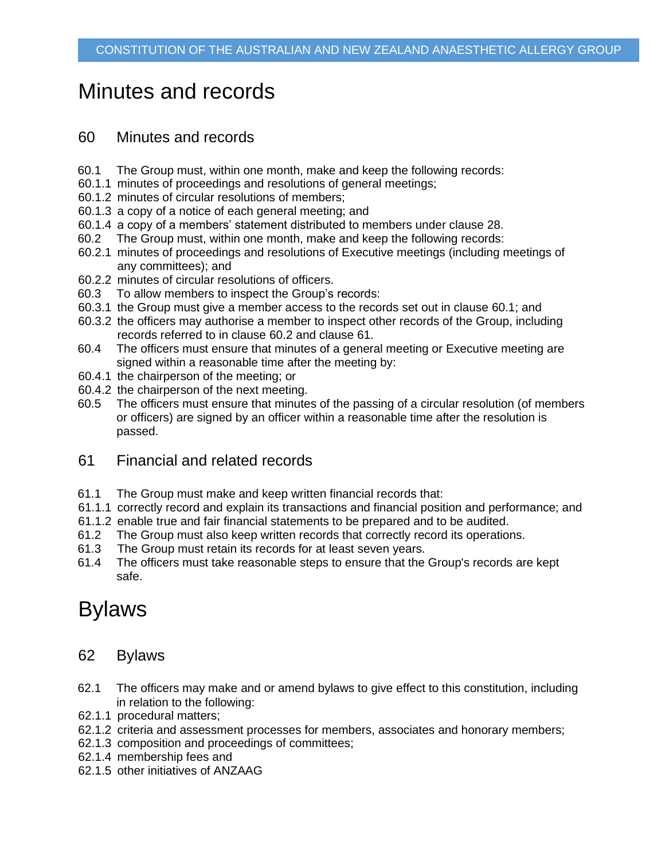## Minutes and records

### 60 Minutes and records

- <span id="page-20-0"></span>60.1 The Group must, within one month, make and keep the following records:
- 60.1.1 minutes of proceedings and resolutions of general meetings;
- 60.1.2 minutes of circular resolutions of members;
- 60.1.3 a copy of a notice of each general meeting; and
- 60.1.4 a copy of a members' statement distributed to members under clause [28.](#page-10-1)
- <span id="page-20-1"></span>60.2 The Group must, within one month, make and keep the following records:
- 60.2.1 minutes of proceedings and resolutions of Executive meetings (including meetings of any committees); and
- 60.2.2 minutes of circular resolutions of officers.
- 60.3 To allow members to inspect the Group's records:
- 60.3.1 the Group must give a member access to the records set out in clause [60.1;](#page-20-0) and
- 60.3.2 the officers may authorise a member to inspect other records of the Group, including records referred to in clause [60.2](#page-20-1) and clause [61.](#page-20-2)
- 60.4 The officers must ensure that minutes of a general meeting or Executive meeting are signed within a reasonable time after the meeting by:
- 60.4.1 the chairperson of the meeting; or
- 60.4.2 the chairperson of the next meeting.
- 60.5 The officers must ensure that minutes of the passing of a circular resolution (of members or officers) are signed by an officer within a reasonable time after the resolution is passed.
- <span id="page-20-2"></span>61 Financial and related records
- 61.1 The Group must make and keep written financial records that:
- 61.1.1 correctly record and explain its transactions and financial position and performance; and
- 61.1.2 enable true and fair financial statements to be prepared and to be audited.
- 61.2 The Group must also keep written records that correctly record its operations.
- 61.3 The Group must retain its records for at least seven years.
- 61.4 The officers must take reasonable steps to ensure that the Group's records are kept safe.

## Bylaws

### 62 Bylaws

- 62.1 The officers may make and or amend bylaws to give effect to this constitution, including in relation to the following:
- 62.1.1 procedural matters;
- 62.1.2 criteria and assessment processes for members, associates and honorary members;
- 62.1.3 composition and proceedings of committees;
- 62.1.4 membership fees and
- 62.1.5 other initiatives of ANZAAG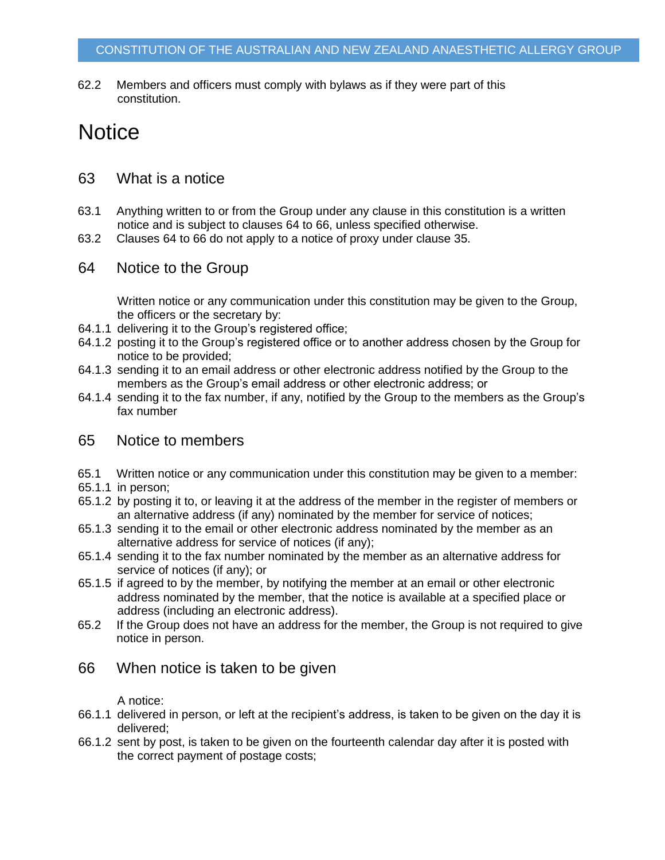62.2 Members and officers must comply with bylaws as if they were part of this constitution.

## **Notice**

- 63 What is a notice
- 63.1 Anything written to or from the Group under any clause in this constitution is a written notice and is subject to clauses [64](#page-21-0) to [66,](#page-21-1) unless specified otherwise.
- 63.2 Clauses [64](#page-21-0) to [66](#page-21-1) do not apply to a notice of proxy under clause [35.](#page-13-1)
- <span id="page-21-0"></span>64 Notice to the Group

Written notice or any communication under this constitution may be given to the Group, the officers or the secretary by:

- 64.1.1 delivering it to the Group's registered office;
- 64.1.2 posting it to the Group's registered office or to another address chosen by the Group for notice to be provided;
- 64.1.3 sending it to an email address or other electronic address notified by the Group to the members as the Group's email address or other electronic address; or
- 64.1.4 sending it to the fax number, if any, notified by the Group to the members as the Group's fax number

### 65 Notice to members

- 65.1 Written notice or any communication under this constitution may be given to a member:
- 65.1.1 in person;
- 65.1.2 by posting it to, or leaving it at the address of the member in the register of members or an alternative address (if any) nominated by the member for service of notices;
- 65.1.3 sending it to the email or other electronic address nominated by the member as an alternative address for service of notices (if any);
- 65.1.4 sending it to the fax number nominated by the member as an alternative address for service of notices (if any); or
- <span id="page-21-2"></span>65.1.5 if agreed to by the member, by notifying the member at an email or other electronic address nominated by the member, that the notice is available at a specified place or address (including an electronic address).
- 65.2 If the Group does not have an address for the member, the Group is not required to give notice in person.
- <span id="page-21-1"></span>66 When notice is taken to be given

A notice:

- 66.1.1 delivered in person, or left at the recipient's address, is taken to be given on the day it is delivered;
- 66.1.2 sent by post, is taken to be given on the fourteenth calendar day after it is posted with the correct payment of postage costs;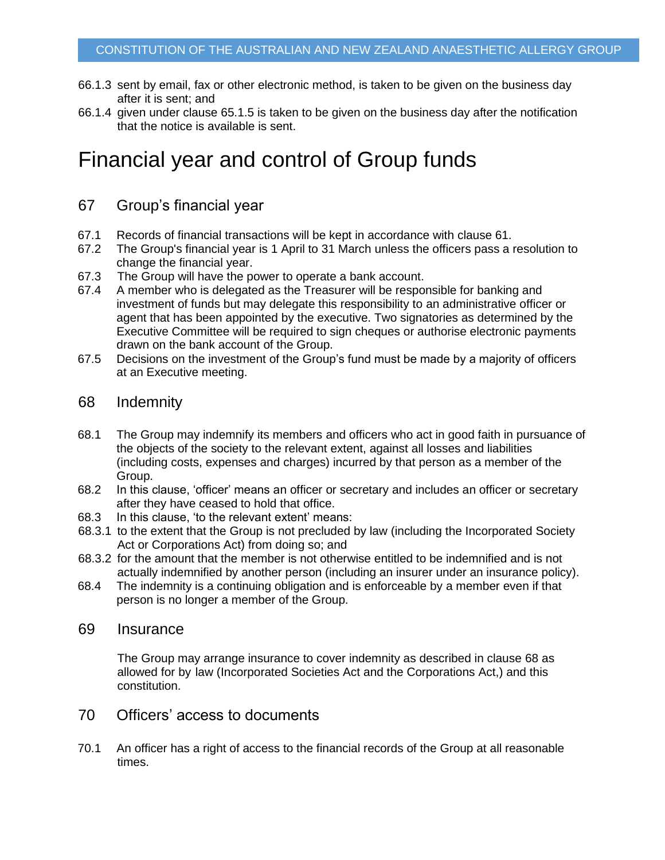- 66.1.3 sent by email, fax or other electronic method, is taken to be given on the business day after it is sent; and
- 66.1.4 given under clause [65.1.5](#page-21-2) is taken to be given on the business day after the notification that the notice is available is sent.

## Financial year and control of Group funds

### 67 Group's financial year

- 67.1 Records of financial transactions will be kept in accordance with clause [61.](#page-20-2)
- 67.2 The Group's financial year is 1 April to 31 March unless the officers pass a resolution to change the financial year.
- 67.3 The Group will have the power to operate a bank account.
- 67.4 A member who is delegated as the Treasurer will be responsible for banking and investment of funds but may delegate this responsibility to an administrative officer or agent that has been appointed by the executive. Two signatories as determined by the Executive Committee will be required to sign cheques or authorise electronic payments drawn on the bank account of the Group.
- 67.5 Decisions on the investment of the Group's fund must be made by a majority of officers at an Executive meeting.

#### <span id="page-22-1"></span>68 Indemnity

- 68.1 The Group may indemnify its members and officers who act in good faith in pursuance of the objects of the society to the relevant extent, against all losses and liabilities (including costs, expenses and charges) incurred by that person as a member of the Group.
- 68.2 In this clause, 'officer' means an officer or secretary and includes an officer or secretary after they have ceased to hold that office.
- 68.3 In this clause, 'to the relevant extent' means:
- 68.3.1 to the extent that the Group is not precluded by law (including the Incorporated Society Act or Corporations Act) from doing so; and
- 68.3.2 for the amount that the member is not otherwise entitled to be indemnified and is not actually indemnified by another person (including an insurer under an insurance policy).
- 68.4 The indemnity is a continuing obligation and is enforceable by a member even if that person is no longer a member of the Group.

#### <span id="page-22-0"></span>69 Insurance

The Group may arrange insurance to cover indemnity as described in clause [68](#page-22-1) as allowed for by law (Incorporated Societies Act and the Corporations Act,) and this constitution.

#### 70 Officers' access to documents

70.1 An officer has a right of access to the financial records of the Group at all reasonable times.